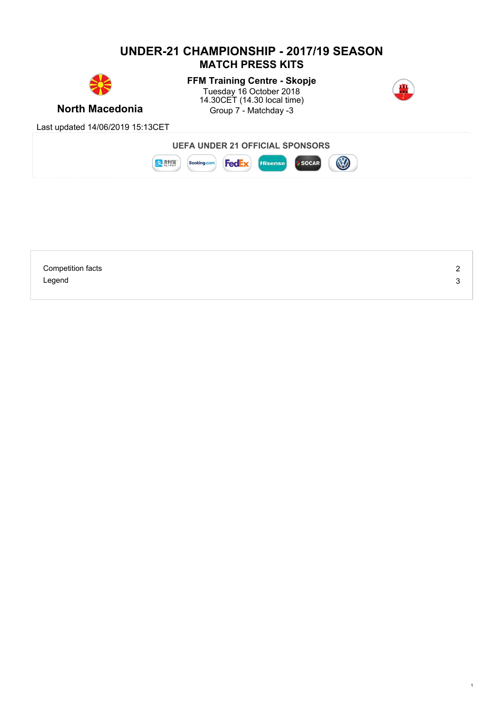# **UNDER-21 CHAMPIONSHIP - 2017/19 SEASON MATCH PRESS KITS**



**FFM Training Centre - Skopje** Tuesday 16 October 2018 14.30CET (14.30 local time)



1

**North Macedonia Group 7 - Matchday -3** 

Last updated 14/06/2019 15:13CET



| <b>Competition facts</b> | ∽<br><u>_</u> |
|--------------------------|---------------|
| Legend                   | ັບ            |
|                          |               |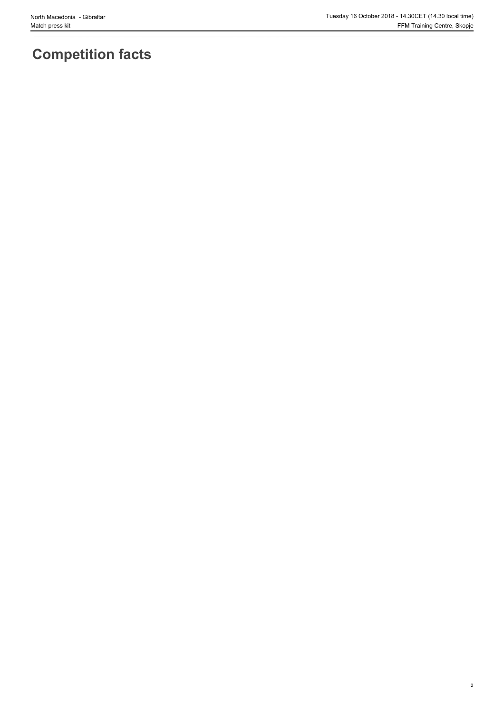2

# **Competition facts**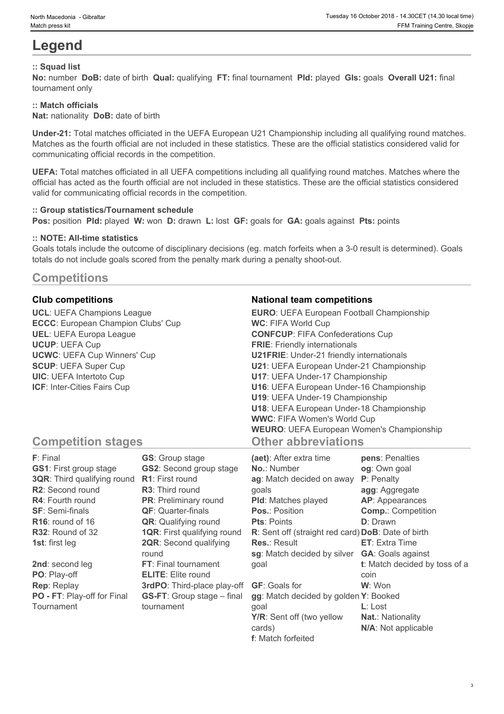# **Legend**

## **:: Squad list**

**No:** number **DoB:** date of birth **Qual:** qualifying **FT:** final tournament **Pld:** played **Gls:** goals **Overall U21:** final tournament only

### **:: Match officials**

**Nat:** nationality **DoB:** date of birth

**Under-21:** Total matches officiated in the UEFA European U21 Championship including all qualifying round matches. Matches as the fourth official are not included in these statistics. These are the official statistics considered valid for communicating official records in the competition.

**UEFA:** Total matches officiated in all UEFA competitions including all qualifying round matches. Matches where the official has acted as the fourth official are not included in these statistics. These are the official statistics considered valid for communicating official records in the competition.

#### **:: Group statistics/Tournament schedule**

**Pos:** position **Pld:** played **W:** won **D:** drawn **L:** lost **GF:** goals for **GA:** goals against **Pts:** points

### **:: NOTE: All-time statistics**

Goals totals include the outcome of disciplinary decisions (eg. match forfeits when a 3-0 result is determined). Goals totals do not include goals scored from the penalty mark during a penalty shoot-out.

# **Competitions**

**UCL**: UEFA Champions League **ECCC**: European Champion Clubs' Cup **UEL**: UEFA Europa League **UCUP**: UEFA Cup **UCWC**: UEFA Cup Winners' Cup **SCUP**: UEFA Super Cup **UIC**: UEFA Intertoto Cup **ICF**: Inter-Cities Fairs Cup

## **Club competitions National team competitions**

| <b>EURO:</b> UEFA European Football Championship |  |
|--------------------------------------------------|--|
| <b>WC: FIFA World Cup</b>                        |  |
| <b>CONFCUP: FIFA Confederations Cup</b>          |  |
| <b>FRIE:</b> Friendly internationals             |  |
| <b>U21FRIE:</b> Under-21 friendly internationals |  |
| U21: UEFA European Under-21 Championship         |  |
| U17: UEFA Under-17 Championship                  |  |
| U16: UEFA European Under-16 Championship         |  |
| U19: UEFA Under-19 Championship                  |  |
| U18: UEFA European Under-18 Championship         |  |
| <b>WWC: FIFA Women's World Cup</b>               |  |
| <b>WEURO:</b> UEFA European Women's Championship |  |
| <b>Other abbreviations</b>                       |  |

# **Competition stages**

| <b>F</b> : Final                   | <b>GS:</b> Group stage             | (aet): After extra time                            | pens: Penalties               |
|------------------------------------|------------------------------------|----------------------------------------------------|-------------------------------|
| <b>GS1:</b> First group stage      | <b>GS2:</b> Second group stage     | <b>No.: Number</b>                                 | og: Own goal                  |
| <b>3QR:</b> Third qualifying round | <b>R1:</b> First round             | ag: Match decided on away                          | <b>P</b> : Penalty            |
| <b>R2:</b> Second round            | <b>R3:</b> Third round             | qoals                                              | agg: Aggregate                |
| <b>R4:</b> Fourth round            | <b>PR:</b> Preliminary round       | <b>PId:</b> Matches played                         | AP: Appearances               |
| <b>SF: Semi-finals</b>             | <b>QF: Quarter-finals</b>          | <b>Pos.: Position</b>                              | <b>Comp.: Competition</b>     |
| $R16$ : round of 16                | <b>QR:</b> Qualifying round        | <b>Pts: Points</b>                                 | <b>D</b> : Drawn              |
| R32: Round of 32                   | <b>1QR:</b> First qualifying round | R: Sent off (straight red card) DoB: Date of birth |                               |
| <b>1st:</b> first leg              | <b>2QR:</b> Second qualifying      | <b>Res.: Result</b>                                | <b>ET:</b> Extra Time         |
|                                    | round                              | sg: Match decided by silver                        | <b>GA: Goals against</b>      |
| 2nd: second leg                    | FT: Final tournament               | qoal                                               | t: Match decided by toss of a |
| PO: Play-off                       | <b>ELITE:</b> Elite round          |                                                    | coin                          |
| <b>Rep: Replay</b>                 | 3rdPO: Third-place play-off        | <b>GF:</b> Goals for                               | <b>W</b> : Won                |
| PO - FT: Play-off for Final        | <b>GS-FT:</b> Group stage – final  | gg: Match decided by golden Y: Booked              |                               |
| Tournament                         | tournament                         | qoal                                               | $L:$ Lost                     |
|                                    |                                    | Y/R: Sent off (two yellow                          | <b>Nat.: Nationality</b>      |
|                                    |                                    | cards)                                             | N/A: Not applicable           |

**f**: Match forfeited